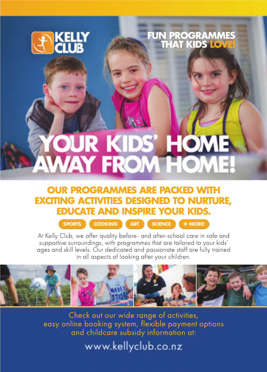

### FUN PROGRAMMES THAT KIDS LOVE!

# **YOUR KIDS' HOME**<br>AWAY FROM HOME!

### **OUR PROGRAMMES ARE PACKED WITH EXCITING ACTIVITIES DESIGNED TO NURTURE, EDUCATE AND INSPIRE YOUR KIDS.**

SPORTS COOKING ART SCIENCE + MORE

At Kelly Club, we offer quality before- and after-school care in safe and supportive surroundings, with programmes that are tailored to your kids' ages and skill levels. Our dedicated and passionate staff are fully trained in all aspects of looking after your children.



Check out our wide range of activities, easy online booking system, flexible payment options and childcare subsidy information at:

www.kellyclub.co.nz